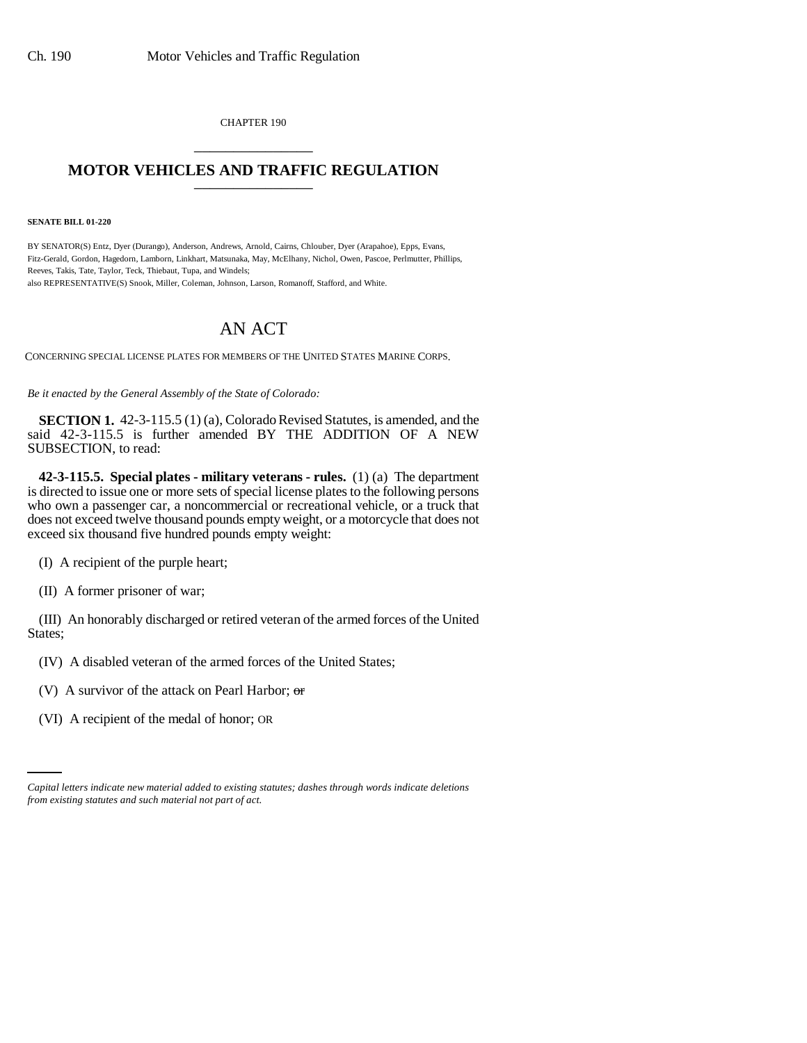CHAPTER 190 \_\_\_\_\_\_\_\_\_\_\_\_\_\_\_

## **MOTOR VEHICLES AND TRAFFIC REGULATION** \_\_\_\_\_\_\_\_\_\_\_\_\_\_\_

**SENATE BILL 01-220**

BY SENATOR(S) Entz, Dyer (Durango), Anderson, Andrews, Arnold, Cairns, Chlouber, Dyer (Arapahoe), Epps, Evans, Fitz-Gerald, Gordon, Hagedorn, Lamborn, Linkhart, Matsunaka, May, McElhany, Nichol, Owen, Pascoe, Perlmutter, Phillips, Reeves, Takis, Tate, Taylor, Teck, Thiebaut, Tupa, and Windels; also REPRESENTATIVE(S) Snook, Miller, Coleman, Johnson, Larson, Romanoff, Stafford, and White.

## AN ACT

CONCERNING SPECIAL LICENSE PLATES FOR MEMBERS OF THE UNITED STATES MARINE CORPS.

*Be it enacted by the General Assembly of the State of Colorado:*

**SECTION 1.** 42-3-115.5 (1) (a), Colorado Revised Statutes, is amended, and the said 42-3-115.5 is further amended BY THE ADDITION OF A NEW SUBSECTION, to read:

**42-3-115.5. Special plates - military veterans - rules.** (1) (a) The department is directed to issue one or more sets of special license plates to the following persons who own a passenger car, a noncommercial or recreational vehicle, or a truck that does not exceed twelve thousand pounds empty weight, or a motorcycle that does not exceed six thousand five hundred pounds empty weight:

(I) A recipient of the purple heart;

(II) A former prisoner of war;

(III) An honorably discharged or retired veteran of the armed forces of the United States;

(IV) A disabled veteran of the armed forces of the United States;

(V) A survivor of the attack on Pearl Harbor;  $\sigma$ 

(VI) A recipient of the medal of honor; OR

*Capital letters indicate new material added to existing statutes; dashes through words indicate deletions from existing statutes and such material not part of act.*